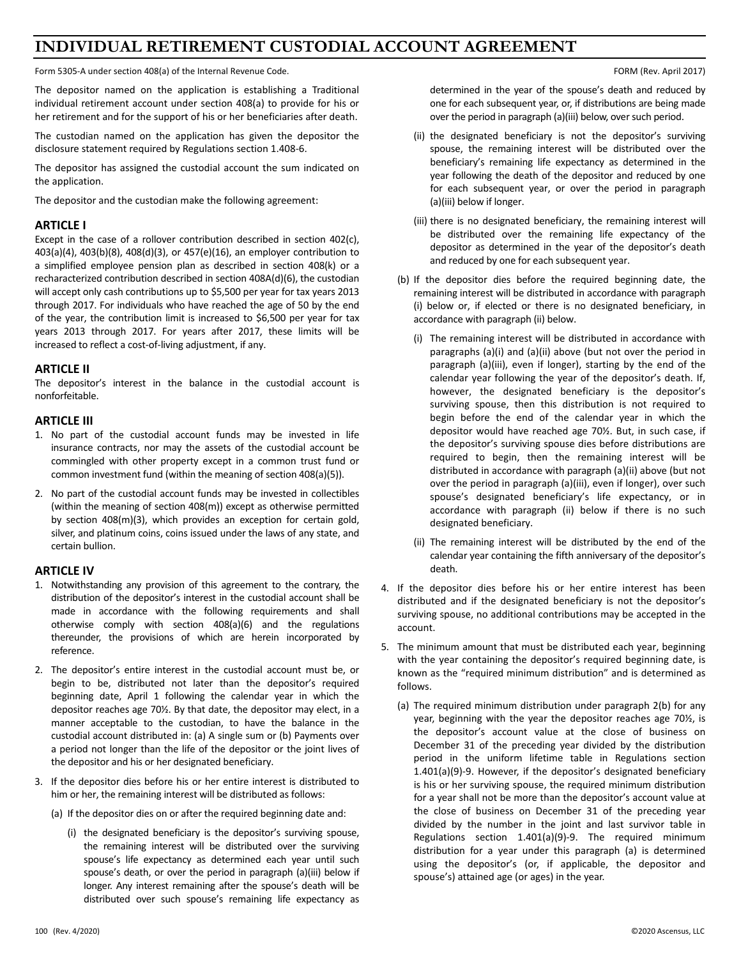## **INDIVIDUAL RETIREMENT CUSTODIAL ACCOUNT AGREEMENT**

Form 5305-A under section 408(a) of the Internal Revenue Code. The Internal Revenue Code. Form 1999 and the Unit of the Internal Revenue Code.

The depositor named on the application is establishing a Traditional individual retirement account under section 408(a) to provide for his or her retirement and for the support of his or her beneficiaries after death.

The custodian named on the application has given the depositor the disclosure statement required by Regulations section 1.408-6.

The depositor has assigned the custodial account the sum indicated on the application.

The depositor and the custodian make the following agreement:

## **ARTICLE I**

Except in the case of a rollover contribution described in section 402(c), 403(a)(4), 403(b)(8), 408(d)(3), or 457(e)(16), an employer contribution to a simplified employee pension plan as described in section 408(k) or a recharacterized contribution described in section 408A(d)(6), the custodian will accept only cash contributions up to \$5,500 per year for tax years 2013 through 2017. For individuals who have reached the age of 50 by the end of the year, the contribution limit is increased to \$6,500 per year for tax years 2013 through 2017. For years after 2017, these limits will be increased to reflect a cost-of-living adjustment, if any.

## **ARTICLE II**

The depositor's interest in the balance in the custodial account is nonforfeitable.

## **ARTICLE III**

- 1. No part of the custodial account funds may be invested in life insurance contracts, nor may the assets of the custodial account be commingled with other property except in a common trust fund or common investment fund (within the meaning of section 408(a)(5)).
- 2. No part of the custodial account funds may be invested in collectibles (within the meaning of section 408(m)) except as otherwise permitted by section 408(m)(3), which provides an exception for certain gold, silver, and platinum coins, coins issued under the laws of any state, and certain bullion.

## **ARTICLE IV**

- 1. Notwithstanding any provision of this agreement to the contrary, the distribution of the depositor's interest in the custodial account shall be made in accordance with the following requirements and shall otherwise comply with section 408(a)(6) and the regulations thereunder, the provisions of which are herein incorporated by reference.
- 2. The depositor's entire interest in the custodial account must be, or begin to be, distributed not later than the depositor's required beginning date, April 1 following the calendar year in which the depositor reaches age 70½. By that date, the depositor may elect, in a manner acceptable to the custodian, to have the balance in the custodial account distributed in: (a) A single sum or (b) Payments over a period not longer than the life of the depositor or the joint lives of the depositor and his or her designated beneficiary.
- 3. If the depositor dies before his or her entire interest is distributed to him or her, the remaining interest will be distributed as follows:
	- (a) If the depositor dies on or after the required beginning date and:
		- (i) the designated beneficiary is the depositor's surviving spouse, the remaining interest will be distributed over the surviving spouse's life expectancy as determined each year until such spouse's death, or over the period in paragraph (a)(iii) below if longer. Any interest remaining after the spouse's death will be distributed over such spouse's remaining life expectancy as

determined in the year of the spouse's death and reduced by one for each subsequent year, or, if distributions are being made over the period in paragraph (a)(iii) below, over such period.

- (ii) the designated beneficiary is not the depositor's surviving spouse, the remaining interest will be distributed over the beneficiary's remaining life expectancy as determined in the year following the death of the depositor and reduced by one for each subsequent year, or over the period in paragraph (a)(iii) below if longer.
- (iii) there is no designated beneficiary, the remaining interest will be distributed over the remaining life expectancy of the depositor as determined in the year of the depositor's death and reduced by one for each subsequent year.
- (b) If the depositor dies before the required beginning date, the remaining interest will be distributed in accordance with paragraph (i) below or, if elected or there is no designated beneficiary, in accordance with paragraph (ii) below.
	- (i) The remaining interest will be distributed in accordance with paragraphs (a)(i) and (a)(ii) above (but not over the period in paragraph (a)(iii), even if longer), starting by the end of the calendar year following the year of the depositor's death. If, however, the designated beneficiary is the depositor's surviving spouse, then this distribution is not required to begin before the end of the calendar year in which the depositor would have reached age 70½. But, in such case, if the depositor's surviving spouse dies before distributions are required to begin, then the remaining interest will be distributed in accordance with paragraph (a)(ii) above (but not over the period in paragraph (a)(iii), even if longer), over such spouse's designated beneficiary's life expectancy, or in accordance with paragraph (ii) below if there is no such designated beneficiary.
	- (ii) The remaining interest will be distributed by the end of the calendar year containing the fifth anniversary of the depositor's death.
- 4. If the depositor dies before his or her entire interest has been distributed and if the designated beneficiary is not the depositor's surviving spouse, no additional contributions may be accepted in the account.
- 5. The minimum amount that must be distributed each year, beginning with the year containing the depositor's required beginning date, is known as the "required minimum distribution" and is determined as follows.
	- (a) The required minimum distribution under paragraph 2(b) for any year, beginning with the year the depositor reaches age 70½, is the depositor's account value at the close of business on December 31 of the preceding year divided by the distribution period in the uniform lifetime table in Regulations section 1.401(a)(9)-9. However, if the depositor's designated beneficiary is his or her surviving spouse, the required minimum distribution for a year shall not be more than the depositor's account value at the close of business on December 31 of the preceding year divided by the number in the joint and last survivor table in Regulations section 1.401(a)(9)-9. The required minimum distribution for a year under this paragraph (a) is determined using the depositor's (or, if applicable, the depositor and spouse's) attained age (or ages) in the year.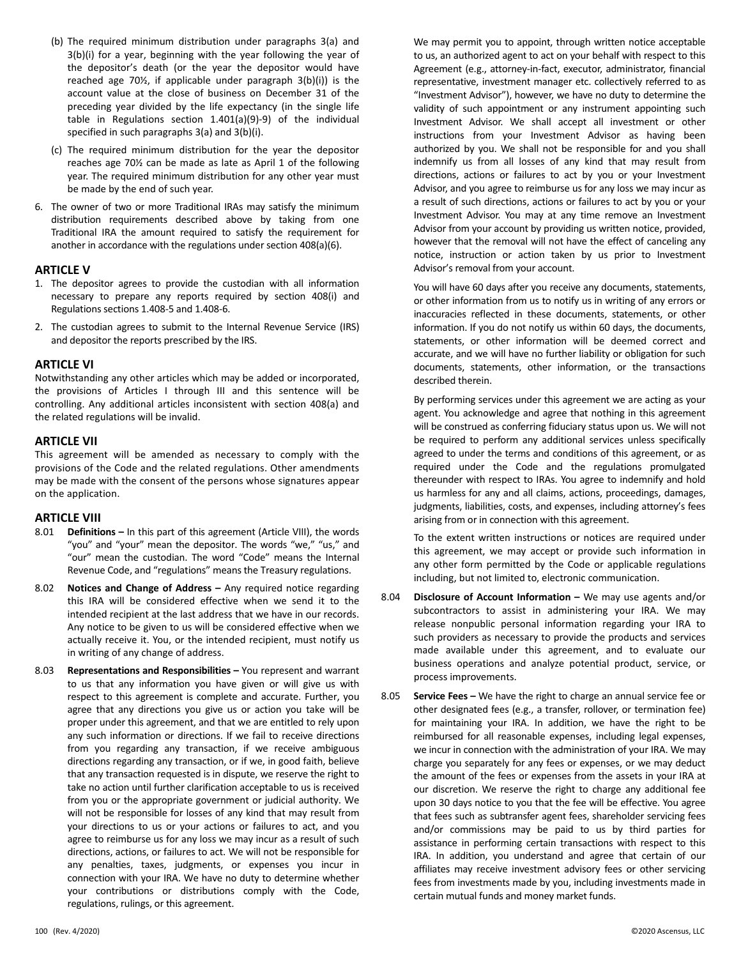- (b) The required minimum distribution under paragraphs 3(a) and 3(b)(i) for a year, beginning with the year following the year of the depositor's death (or the year the depositor would have reached age 70½, if applicable under paragraph 3(b)(i)) is the account value at the close of business on December 31 of the preceding year divided by the life expectancy (in the single life table in Regulations section 1.401(a)(9)-9) of the individual specified in such paragraphs 3(a) and 3(b)(i).
- (c) The required minimum distribution for the year the depositor reaches age 70½ can be made as late as April 1 of the following year. The required minimum distribution for any other year must be made by the end of such year.
- 6. The owner of two or more Traditional IRAs may satisfy the minimum distribution requirements described above by taking from one Traditional IRA the amount required to satisfy the requirement for another in accordance with the regulations under section 408(a)(6).

## **ARTICLE V**

- 1. The depositor agrees to provide the custodian with all information necessary to prepare any reports required by section 408(i) and Regulations sections 1.408-5 and 1.408-6.
- 2. The custodian agrees to submit to the Internal Revenue Service (IRS) and depositor the reports prescribed by the IRS.

### **ARTICLE VI**

Notwithstanding any other articles which may be added or incorporated, the provisions of Articles I through III and this sentence will be controlling. Any additional articles inconsistent with section 408(a) and the related regulations will be invalid.

## **ARTICLE VII**

This agreement will be amended as necessary to comply with the provisions of the Code and the related regulations. Other amendments may be made with the consent of the persons whose signatures appear on the application.

## **ARTICLE VIII**

- 8.01 **Definitions –** In this part of this agreement (Article VIII), the words "you" and "your" mean the depositor. The words "we," "us," and "our" mean the custodian. The word "Code" means the Internal Revenue Code, and "regulations" means the Treasury regulations.
- 8.02 **Notices and Change of Address –** Any required notice regarding this IRA will be considered effective when we send it to the intended recipient at the last address that we have in our records. Any notice to be given to us will be considered effective when we actually receive it. You, or the intended recipient, must notify us in writing of any change of address.
- 8.03 **Representations and Responsibilities –** You represent and warrant to us that any information you have given or will give us with respect to this agreement is complete and accurate. Further, you agree that any directions you give us or action you take will be proper under this agreement, and that we are entitled to rely upon any such information or directions. If we fail to receive directions from you regarding any transaction, if we receive ambiguous directions regarding any transaction, or if we, in good faith, believe that any transaction requested is in dispute, we reserve the right to take no action until further clarification acceptable to us is received from you or the appropriate government or judicial authority. We will not be responsible for losses of any kind that may result from your directions to us or your actions or failures to act, and you agree to reimburse us for any loss we may incur as a result of such directions, actions, or failures to act. We will not be responsible for any penalties, taxes, judgments, or expenses you incur in connection with your IRA. We have no duty to determine whether your contributions or distributions comply with the Code, regulations, rulings, or this agreement.

We may permit you to appoint, through written notice acceptable to us, an authorized agent to act on your behalf with respect to this Agreement (e.g., attorney-in-fact, executor, administrator, financial representative, investment manager etc. collectively referred to as "Investment Advisor"), however, we have no duty to determine the validity of such appointment or any instrument appointing such Investment Advisor. We shall accept all investment or other instructions from your Investment Advisor as having been authorized by you. We shall not be responsible for and you shall indemnify us from all losses of any kind that may result from directions, actions or failures to act by you or your Investment Advisor, and you agree to reimburse us for any loss we may incur as a result of such directions, actions or failures to act by you or your Investment Advisor. You may at any time remove an Investment Advisor from your account by providing us written notice, provided, however that the removal will not have the effect of canceling any notice, instruction or action taken by us prior to Investment Advisor's removal from your account.

You will have 60 days after you receive any documents, statements, or other information from us to notify us in writing of any errors or inaccuracies reflected in these documents, statements, or other information. If you do not notify us within 60 days, the documents, statements, or other information will be deemed correct and accurate, and we will have no further liability or obligation for such documents, statements, other information, or the transactions described therein.

By performing services under this agreement we are acting as your agent. You acknowledge and agree that nothing in this agreement will be construed as conferring fiduciary status upon us. We will not be required to perform any additional services unless specifically agreed to under the terms and conditions of this agreement, or as required under the Code and the regulations promulgated thereunder with respect to IRAs. You agree to indemnify and hold us harmless for any and all claims, actions, proceedings, damages, judgments, liabilities, costs, and expenses, including attorney's fees arising from or in connection with this agreement.

To the extent written instructions or notices are required under this agreement, we may accept or provide such information in any other form permitted by the Code or applicable regulations including, but not limited to, electronic communication.

- 8.04 **Disclosure of Account Information –** We may use agents and/or subcontractors to assist in administering your IRA. We may release nonpublic personal information regarding your IRA to such providers as necessary to provide the products and services made available under this agreement, and to evaluate our business operations and analyze potential product, service, or process improvements.
- 8.05 **Service Fees –** We have the right to charge an annual service fee or other designated fees (e.g., a transfer, rollover, or termination fee) for maintaining your IRA. In addition, we have the right to be reimbursed for all reasonable expenses, including legal expenses, we incur in connection with the administration of your IRA. We may charge you separately for any fees or expenses, or we may deduct the amount of the fees or expenses from the assets in your IRA at our discretion. We reserve the right to charge any additional fee upon 30 days notice to you that the fee will be effective. You agree that fees such as subtransfer agent fees, shareholder servicing fees and/or commissions may be paid to us by third parties for assistance in performing certain transactions with respect to this IRA. In addition, you understand and agree that certain of our affiliates may receive investment advisory fees or other servicing fees from investments made by you, including investments made in certain mutual funds and money market funds.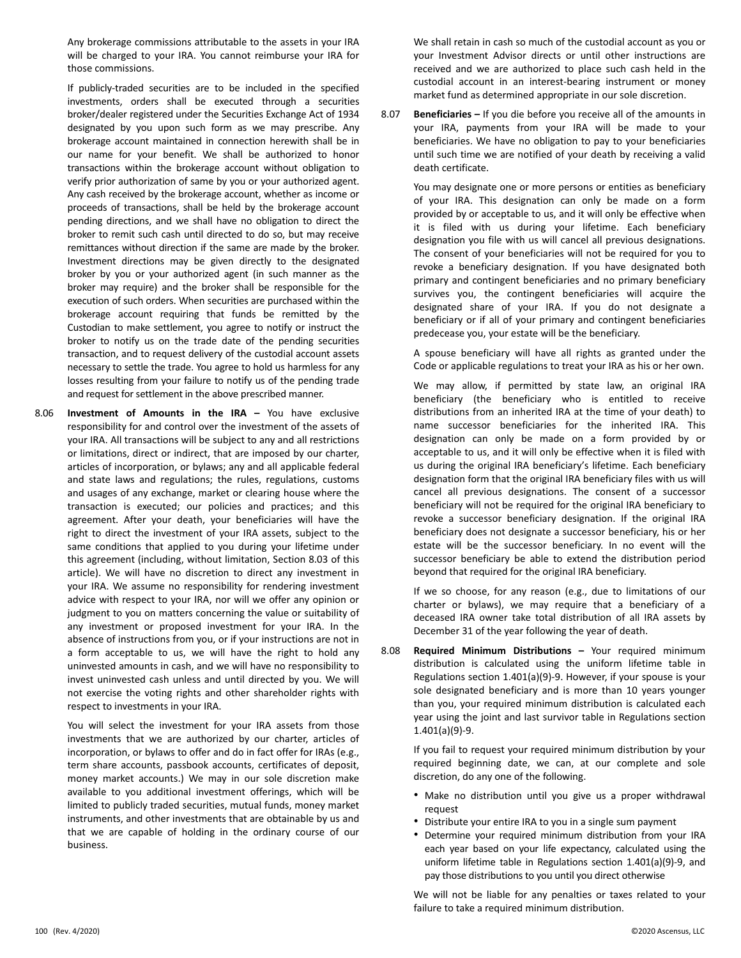Any brokerage commissions attributable to the assets in your IRA will be charged to your IRA. You cannot reimburse your IRA for those commissions.

If publicly-traded securities are to be included in the specified investments, orders shall be executed through a securities broker/dealer registered under the Securities Exchange Act of 1934 designated by you upon such form as we may prescribe. Any brokerage account maintained in connection herewith shall be in our name for your benefit. We shall be authorized to honor transactions within the brokerage account without obligation to verify prior authorization of same by you or your authorized agent. Any cash received by the brokerage account, whether as income or proceeds of transactions, shall be held by the brokerage account pending directions, and we shall have no obligation to direct the broker to remit such cash until directed to do so, but may receive remittances without direction if the same are made by the broker. Investment directions may be given directly to the designated broker by you or your authorized agent (in such manner as the broker may require) and the broker shall be responsible for the execution of such orders. When securities are purchased within the brokerage account requiring that funds be remitted by the Custodian to make settlement, you agree to notify or instruct the broker to notify us on the trade date of the pending securities transaction, and to request delivery of the custodial account assets necessary to settle the trade. You agree to hold us harmless for any losses resulting from your failure to notify us of the pending trade and request for settlement in the above prescribed manner.

8.06 **Investment of Amounts in the IRA –** You have exclusive responsibility for and control over the investment of the assets of your IRA. All transactions will be subject to any and all restrictions or limitations, direct or indirect, that are imposed by our charter, articles of incorporation, or bylaws; any and all applicable federal and state laws and regulations; the rules, regulations, customs and usages of any exchange, market or clearing house where the transaction is executed; our policies and practices; and this agreement. After your death, your beneficiaries will have the right to direct the investment of your IRA assets, subject to the same conditions that applied to you during your lifetime under this agreement (including, without limitation, Section 8.03 of this article). We will have no discretion to direct any investment in your IRA. We assume no responsibility for rendering investment advice with respect to your IRA, nor will we offer any opinion or judgment to you on matters concerning the value or suitability of any investment or proposed investment for your IRA. In the absence of instructions from you, or if your instructions are not in a form acceptable to us, we will have the right to hold any uninvested amounts in cash, and we will have no responsibility to invest uninvested cash unless and until directed by you. We will not exercise the voting rights and other shareholder rights with respect to investments in your IRA.

You will select the investment for your IRA assets from those investments that we are authorized by our charter, articles of incorporation, or bylaws to offer and do in fact offer for IRAs (e.g., term share accounts, passbook accounts, certificates of deposit, money market accounts.) We may in our sole discretion make available to you additional investment offerings, which will be limited to publicly traded securities, mutual funds, money market instruments, and other investments that are obtainable by us and that we are capable of holding in the ordinary course of our business.

We shall retain in cash so much of the custodial account as you or your Investment Advisor directs or until other instructions are received and we are authorized to place such cash held in the custodial account in an interest-bearing instrument or money market fund as determined appropriate in our sole discretion.

8.07 **Beneficiaries –** If you die before you receive all of the amounts in your IRA, payments from your IRA will be made to your beneficiaries. We have no obligation to pay to your beneficiaries until such time we are notified of your death by receiving a valid death certificate.

You may designate one or more persons or entities as beneficiary of your IRA. This designation can only be made on a form provided by or acceptable to us, and it will only be effective when it is filed with us during your lifetime. Each beneficiary designation you file with us will cancel all previous designations. The consent of your beneficiaries will not be required for you to revoke a beneficiary designation. If you have designated both primary and contingent beneficiaries and no primary beneficiary survives you, the contingent beneficiaries will acquire the designated share of your IRA. If you do not designate a beneficiary or if all of your primary and contingent beneficiaries predecease you, your estate will be the beneficiary.

A spouse beneficiary will have all rights as granted under the Code or applicable regulations to treat your IRA as his or her own.

We may allow, if permitted by state law, an original IRA beneficiary (the beneficiary who is entitled to receive distributions from an inherited IRA at the time of your death) to name successor beneficiaries for the inherited IRA. This designation can only be made on a form provided by or acceptable to us, and it will only be effective when it is filed with us during the original IRA beneficiary's lifetime. Each beneficiary designation form that the original IRA beneficiary files with us will cancel all previous designations. The consent of a successor beneficiary will not be required for the original IRA beneficiary to revoke a successor beneficiary designation. If the original IRA beneficiary does not designate a successor beneficiary, his or her estate will be the successor beneficiary. In no event will the successor beneficiary be able to extend the distribution period beyond that required for the original IRA beneficiary.

If we so choose, for any reason (e.g., due to limitations of our charter or bylaws), we may require that a beneficiary of a deceased IRA owner take total distribution of all IRA assets by December 31 of the year following the year of death.

8.08 **Required Minimum Distributions –** Your required minimum distribution is calculated using the uniform lifetime table in Regulations section 1.401(a)(9)-9. However, if your spouse is your sole designated beneficiary and is more than 10 years younger than you, your required minimum distribution is calculated each year using the joint and last survivor table in Regulations section 1.401(a)(9)-9.

If you fail to request your required minimum distribution by your required beginning date, we can, at our complete and sole discretion, do any one of the following.

- Make no distribution until you give us a proper withdrawal request
- Distribute your entire IRA to you in a single sum payment
- Determine your required minimum distribution from your IRA each year based on your life expectancy, calculated using the uniform lifetime table in Regulations section 1.401(a)(9)-9, and pay those distributions to you until you direct otherwise

We will not be liable for any penalties or taxes related to your failure to take a required minimum distribution.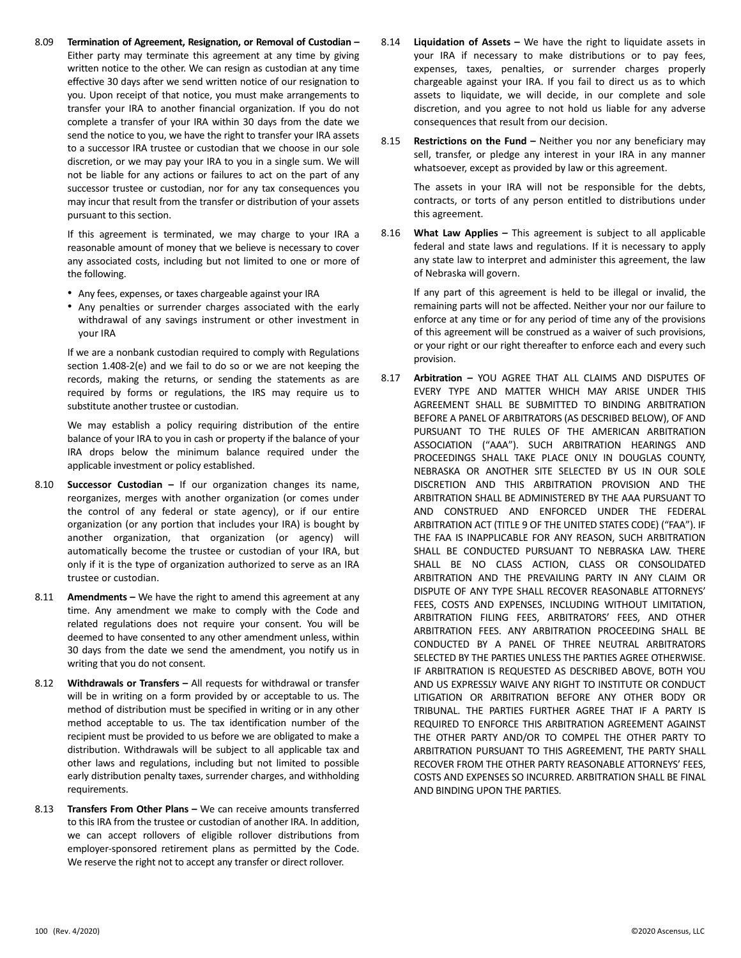8.09 **Termination of Agreement, Resignation, or Removal of Custodian –** Either party may terminate this agreement at any time by giving written notice to the other. We can resign as custodian at any time effective 30 days after we send written notice of our resignation to you. Upon receipt of that notice, you must make arrangements to transfer your IRA to another financial organization. If you do not complete a transfer of your IRA within 30 days from the date we send the notice to you, we have the right to transfer your IRA assets to a successor IRA trustee or custodian that we choose in our sole discretion, or we may pay your IRA to you in a single sum. We will not be liable for any actions or failures to act on the part of any successor trustee or custodian, nor for any tax consequences you may incur that result from the transfer or distribution of your assets pursuant to this section.

If this agreement is terminated, we may charge to your IRA a reasonable amount of money that we believe is necessary to cover any associated costs, including but not limited to one or more of the following.

- Any fees, expenses, or taxes chargeable against your IRA
- Any penalties or surrender charges associated with the early withdrawal of any savings instrument or other investment in your IRA

If we are a nonbank custodian required to comply with Regulations section 1.408-2(e) and we fail to do so or we are not keeping the records, making the returns, or sending the statements as are required by forms or regulations, the IRS may require us to substitute another trustee or custodian.

We may establish a policy requiring distribution of the entire balance of your IRA to you in cash or property if the balance of your IRA drops below the minimum balance required under the applicable investment or policy established.

- 8.10 **Successor Custodian –** If our organization changes its name, reorganizes, merges with another organization (or comes under the control of any federal or state agency), or if our entire organization (or any portion that includes your IRA) is bought by another organization, that organization (or agency) will automatically become the trustee or custodian of your IRA, but only if it is the type of organization authorized to serve as an IRA trustee or custodian.
- 8.11 **Amendments –** We have the right to amend this agreement at any time. Any amendment we make to comply with the Code and related regulations does not require your consent. You will be deemed to have consented to any other amendment unless, within 30 days from the date we send the amendment, you notify us in writing that you do not consent.
- 8.12 **Withdrawals or Transfers –** All requests for withdrawal or transfer will be in writing on a form provided by or acceptable to us. The method of distribution must be specified in writing or in any other method acceptable to us. The tax identification number of the recipient must be provided to us before we are obligated to make a distribution. Withdrawals will be subject to all applicable tax and other laws and regulations, including but not limited to possible early distribution penalty taxes, surrender charges, and withholding requirements.
- 8.13 **Transfers From Other Plans –** We can receive amounts transferred to this IRA from the trustee or custodian of another IRA. In addition, we can accept rollovers of eligible rollover distributions from employer-sponsored retirement plans as permitted by the Code. We reserve the right not to accept any transfer or direct rollover.
- 8.14 **Liquidation of Assets –** We have the right to liquidate assets in your IRA if necessary to make distributions or to pay fees, expenses, taxes, penalties, or surrender charges properly chargeable against your IRA. If you fail to direct us as to which assets to liquidate, we will decide, in our complete and sole discretion, and you agree to not hold us liable for any adverse consequences that result from our decision.
- 8.15 **Restrictions on the Fund –** Neither you nor any beneficiary may sell, transfer, or pledge any interest in your IRA in any manner whatsoever, except as provided by law or this agreement.

The assets in your IRA will not be responsible for the debts, contracts, or torts of any person entitled to distributions under this agreement.

8.16 **What Law Applies –** This agreement is subject to all applicable federal and state laws and regulations. If it is necessary to apply any state law to interpret and administer this agreement, the law of Nebraska will govern.

If any part of this agreement is held to be illegal or invalid, the remaining parts will not be affected. Neither your nor our failure to enforce at any time or for any period of time any of the provisions of this agreement will be construed as a waiver of such provisions, or your right or our right thereafter to enforce each and every such provision.

8.17 **Arbitration –** YOU AGREE THAT ALL CLAIMS AND DISPUTES OF EVERY TYPE AND MATTER WHICH MAY ARISE UNDER THIS AGREEMENT SHALL BE SUBMITTED TO BINDING ARBITRATION BEFORE A PANEL OF ARBITRATORS (AS DESCRIBED BELOW), OF AND PURSUANT TO THE RULES OF THE AMERICAN ARBITRATION ASSOCIATION ("AAA"). SUCH ARBITRATION HEARINGS AND PROCEEDINGS SHALL TAKE PLACE ONLY IN DOUGLAS COUNTY, NEBRASKA OR ANOTHER SITE SELECTED BY US IN OUR SOLE DISCRETION AND THIS ARBITRATION PROVISION AND THE ARBITRATION SHALL BE ADMINISTERED BY THE AAA PURSUANT TO AND CONSTRUED AND ENFORCED UNDER THE FEDERAL ARBITRATION ACT (TITLE 9 OF THE UNITED STATES CODE) ("FAA"). IF THE FAA IS INAPPLICABLE FOR ANY REASON, SUCH ARBITRATION SHALL BE CONDUCTED PURSUANT TO NEBRASKA LAW. THERE SHALL BE NO CLASS ACTION, CLASS OR CONSOLIDATED ARBITRATION AND THE PREVAILING PARTY IN ANY CLAIM OR DISPUTE OF ANY TYPE SHALL RECOVER REASONABLE ATTORNEYS' FEES, COSTS AND EXPENSES, INCLUDING WITHOUT LIMITATION, ARBITRATION FILING FEES, ARBITRATORS' FEES, AND OTHER ARBITRATION FEES. ANY ARBITRATION PROCEEDING SHALL BE CONDUCTED BY A PANEL OF THREE NEUTRAL ARBITRATORS SELECTED BY THE PARTIES UNLESS THE PARTIES AGREE OTHERWISE. IF ARBITRATION IS REQUESTED AS DESCRIBED ABOVE, BOTH YOU AND US EXPRESSLY WAIVE ANY RIGHT TO INSTITUTE OR CONDUCT LITIGATION OR ARBITRATION BEFORE ANY OTHER BODY OR TRIBUNAL. THE PARTIES FURTHER AGREE THAT IF A PARTY IS REQUIRED TO ENFORCE THIS ARBITRATION AGREEMENT AGAINST THE OTHER PARTY AND/OR TO COMPEL THE OTHER PARTY TO ARBITRATION PURSUANT TO THIS AGREEMENT, THE PARTY SHALL RECOVER FROM THE OTHER PARTY REASONABLE ATTORNEYS' FEES, COSTS AND EXPENSES SO INCURRED. ARBITRATION SHALL BE FINAL AND BINDING UPON THE PARTIES.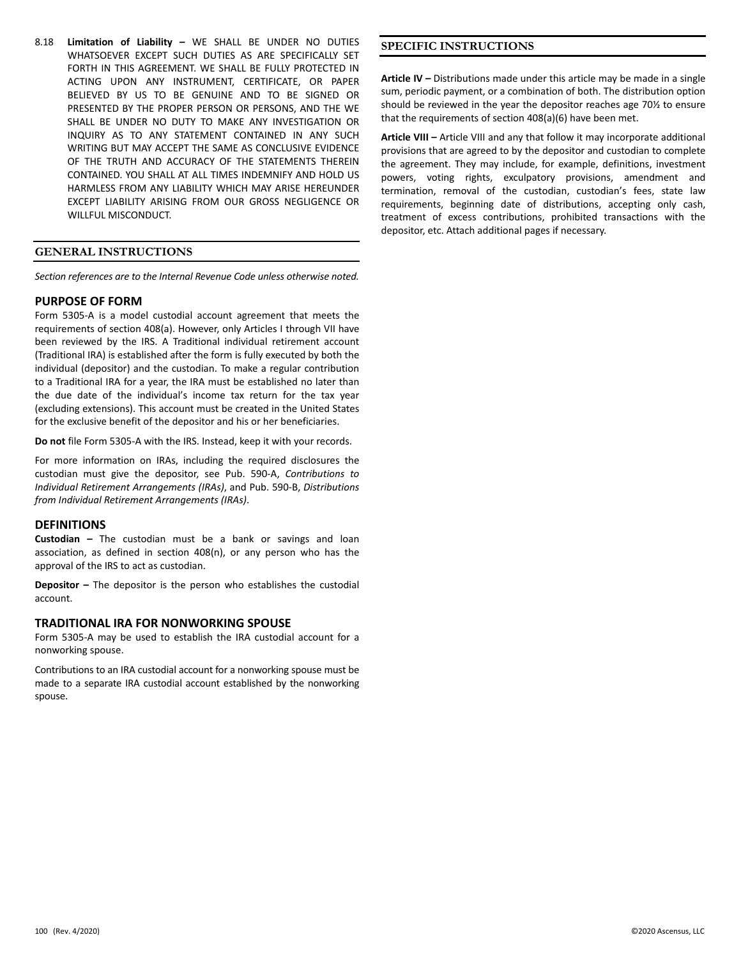8.18 **Limitation of Liability –** WE SHALL BE UNDER NO DUTIES WHATSOEVER EXCEPT SUCH DUTIES AS ARE SPECIFICALLY SET FORTH IN THIS AGREEMENT. WE SHALL BE FULLY PROTECTED IN ACTING UPON ANY INSTRUMENT, CERTIFICATE, OR PAPER BELIEVED BY US TO BE GENUINE AND TO BE SIGNED OR PRESENTED BY THE PROPER PERSON OR PERSONS, AND THE WE SHALL BE UNDER NO DUTY TO MAKE ANY INVESTIGATION OR INQUIRY AS TO ANY STATEMENT CONTAINED IN ANY SUCH WRITING BUT MAY ACCEPT THE SAME AS CONCLUSIVE EVIDENCE OF THE TRUTH AND ACCURACY OF THE STATEMENTS THEREIN CONTAINED. YOU SHALL AT ALL TIMES INDEMNIFY AND HOLD US HARMLESS FROM ANY LIABILITY WHICH MAY ARISE HEREUNDER EXCEPT LIABILITY ARISING FROM OUR GROSS NEGLIGENCE OR WILLFUL MISCONDUCT.

## **GENERAL INSTRUCTIONS**

*Section references are to the Internal Revenue Code unless otherwise noted.*

### **PURPOSE OF FORM**

Form 5305-A is a model custodial account agreement that meets the requirements of section 408(a). However, only Articles I through VII have been reviewed by the IRS. A Traditional individual retirement account (Traditional IRA) is established after the form is fully executed by both the individual (depositor) and the custodian. To make a regular contribution to a Traditional IRA for a year, the IRA must be established no later than the due date of the individual's income tax return for the tax year (excluding extensions). This account must be created in the United States for the exclusive benefit of the depositor and his or her beneficiaries.

**Do not** file Form 5305-A with the IRS. Instead, keep it with your records.

For more information on IRAs, including the required disclosures the custodian must give the depositor, see Pub. 590-A, *Contributions to Individual Retirement Arrangements (IRAs)*, and Pub. 590-B, *Distributions from Individual Retirement Arrangements (IRAs)*.

## **DEFINITIONS**

**Custodian –** The custodian must be a bank or savings and loan association, as defined in section 408(n), or any person who has the approval of the IRS to act as custodian.

**Depositor –** The depositor is the person who establishes the custodial account.

## **TRADITIONAL IRA FOR NONWORKING SPOUSE**

Form 5305-A may be used to establish the IRA custodial account for a nonworking spouse.

Contributions to an IRA custodial account for a nonworking spouse must be made to a separate IRA custodial account established by the nonworking spouse.

## **SPECIFIC INSTRUCTIONS**

**Article IV –** Distributions made under this article may be made in a single sum, periodic payment, or a combination of both. The distribution option should be reviewed in the year the depositor reaches age 70½ to ensure that the requirements of section 408(a)(6) have been met.

**Article VIII –** Article VIII and any that follow it may incorporate additional provisions that are agreed to by the depositor and custodian to complete the agreement. They may include, for example, definitions, investment powers, voting rights, exculpatory provisions, amendment and termination, removal of the custodian, custodian's fees, state law requirements, beginning date of distributions, accepting only cash, treatment of excess contributions, prohibited transactions with the depositor, etc. Attach additional pages if necessary.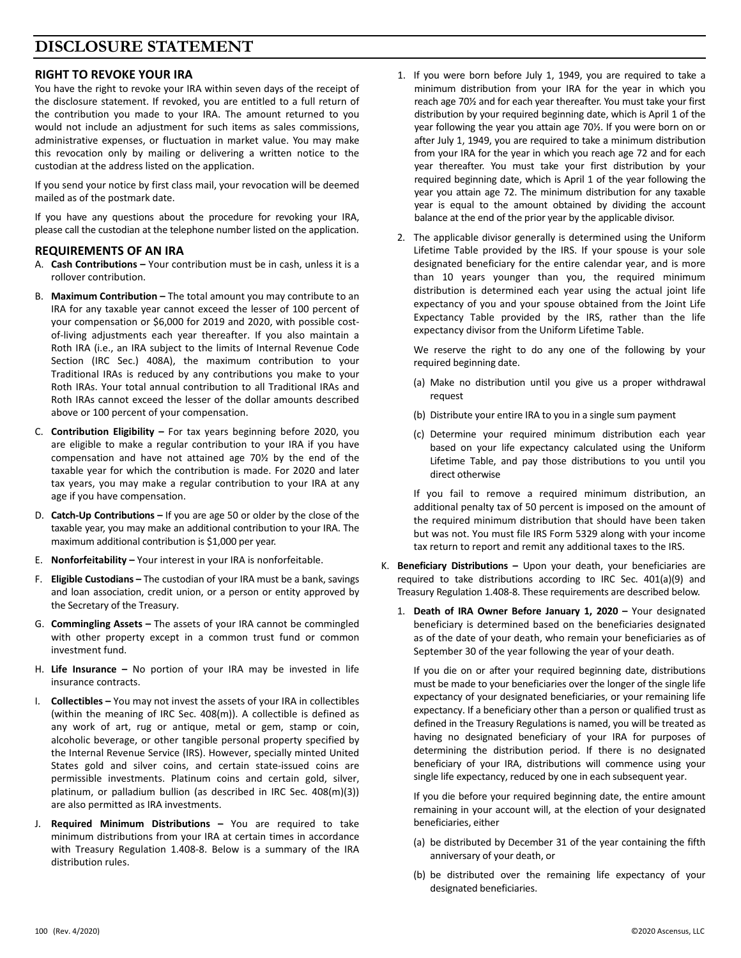## **DISCLOSURE STATEMENT**

## **RIGHT TO REVOKE YOUR IRA**

You have the right to revoke your IRA within seven days of the receipt of the disclosure statement. If revoked, you are entitled to a full return of the contribution you made to your IRA. The amount returned to you would not include an adjustment for such items as sales commissions, administrative expenses, or fluctuation in market value. You may make this revocation only by mailing or delivering a written notice to the custodian at the address listed on the application.

If you send your notice by first class mail, your revocation will be deemed mailed as of the postmark date.

If you have any questions about the procedure for revoking your IRA, please call the custodian at the telephone number listed on the application.

## **REQUIREMENTS OF AN IRA**

- A. **Cash Contributions –** Your contribution must be in cash, unless it is a rollover contribution.
- B. **Maximum Contribution –** The total amount you may contribute to an IRA for any taxable year cannot exceed the lesser of 100 percent of your compensation or \$6,000 for 2019 and 2020, with possible costof-living adjustments each year thereafter. If you also maintain a Roth IRA (i.e., an IRA subject to the limits of Internal Revenue Code Section (IRC Sec.) 408A), the maximum contribution to your Traditional IRAs is reduced by any contributions you make to your Roth IRAs. Your total annual contribution to all Traditional IRAs and Roth IRAs cannot exceed the lesser of the dollar amounts described above or 100 percent of your compensation.
- C. **Contribution Eligibility –** For tax years beginning before 2020, you are eligible to make a regular contribution to your IRA if you have compensation and have not attained age 70½ by the end of the taxable year for which the contribution is made. For 2020 and later tax years, you may make a regular contribution to your IRA at any age if you have compensation.
- D. **Catch-Up Contributions –** If you are age 50 or older by the close of the taxable year, you may make an additional contribution to your IRA. The maximum additional contribution is \$1,000 per year.
- E. **Nonforfeitability –** Your interest in your IRA is nonforfeitable.
- F. **Eligible Custodians –** The custodian of your IRA must be a bank, savings and loan association, credit union, or a person or entity approved by the Secretary of the Treasury.
- G. **Commingling Assets –** The assets of your IRA cannot be commingled with other property except in a common trust fund or common investment fund.
- H. **Life Insurance –** No portion of your IRA may be invested in life insurance contracts.
- I. **Collectibles –** You may not invest the assets of your IRA in collectibles (within the meaning of IRC Sec. 408(m)). A collectible is defined as any work of art, rug or antique, metal or gem, stamp or coin, alcoholic beverage, or other tangible personal property specified by the Internal Revenue Service (IRS). However, specially minted United States gold and silver coins, and certain state-issued coins are permissible investments. Platinum coins and certain gold, silver, platinum, or palladium bullion (as described in IRC Sec. 408(m)(3)) are also permitted as IRA investments.
- J. **Required Minimum Distributions –** You are required to take minimum distributions from your IRA at certain times in accordance with Treasury Regulation 1.408-8. Below is a summary of the IRA distribution rules.
- 1. If you were born before July 1, 1949, you are required to take a minimum distribution from your IRA for the year in which you reach age 70½ and for each year thereafter. You must take your first distribution by your required beginning date, which is April 1 of the year following the year you attain age 70½. If you were born on or after July 1, 1949, you are required to take a minimum distribution from your IRA for the year in which you reach age 72 and for each year thereafter. You must take your first distribution by your required beginning date, which is April 1 of the year following the year you attain age 72. The minimum distribution for any taxable year is equal to the amount obtained by dividing the account balance at the end of the prior year by the applicable divisor.
- 2. The applicable divisor generally is determined using the Uniform Lifetime Table provided by the IRS. If your spouse is your sole designated beneficiary for the entire calendar year, and is more than 10 years younger than you, the required minimum distribution is determined each year using the actual joint life expectancy of you and your spouse obtained from the Joint Life Expectancy Table provided by the IRS, rather than the life expectancy divisor from the Uniform Lifetime Table.

We reserve the right to do any one of the following by your required beginning date.

- (a) Make no distribution until you give us a proper withdrawal request
- (b) Distribute your entire IRA to you in a single sum payment
- (c) Determine your required minimum distribution each year based on your life expectancy calculated using the Uniform Lifetime Table, and pay those distributions to you until you direct otherwise

If you fail to remove a required minimum distribution, an additional penalty tax of 50 percent is imposed on the amount of the required minimum distribution that should have been taken but was not. You must file IRS Form 5329 along with your income tax return to report and remit any additional taxes to the IRS.

- K. **Beneficiary Distributions –** Upon your death, your beneficiaries are required to take distributions according to IRC Sec. 401(a)(9) and Treasury Regulation 1.408-8. These requirements are described below.
	- 1. **Death of IRA Owner Before January 1, 2020 –** Your designated beneficiary is determined based on the beneficiaries designated as of the date of your death, who remain your beneficiaries as of September 30 of the year following the year of your death.

If you die on or after your required beginning date, distributions must be made to your beneficiaries over the longer of the single life expectancy of your designated beneficiaries, or your remaining life expectancy. If a beneficiary other than a person or qualified trust as defined in the Treasury Regulations is named, you will be treated as having no designated beneficiary of your IRA for purposes of determining the distribution period. If there is no designated beneficiary of your IRA, distributions will commence using your single life expectancy, reduced by one in each subsequent year.

If you die before your required beginning date, the entire amount remaining in your account will, at the election of your designated beneficiaries, either

- (a) be distributed by December 31 of the year containing the fifth anniversary of your death, or
- (b) be distributed over the remaining life expectancy of your designated beneficiaries.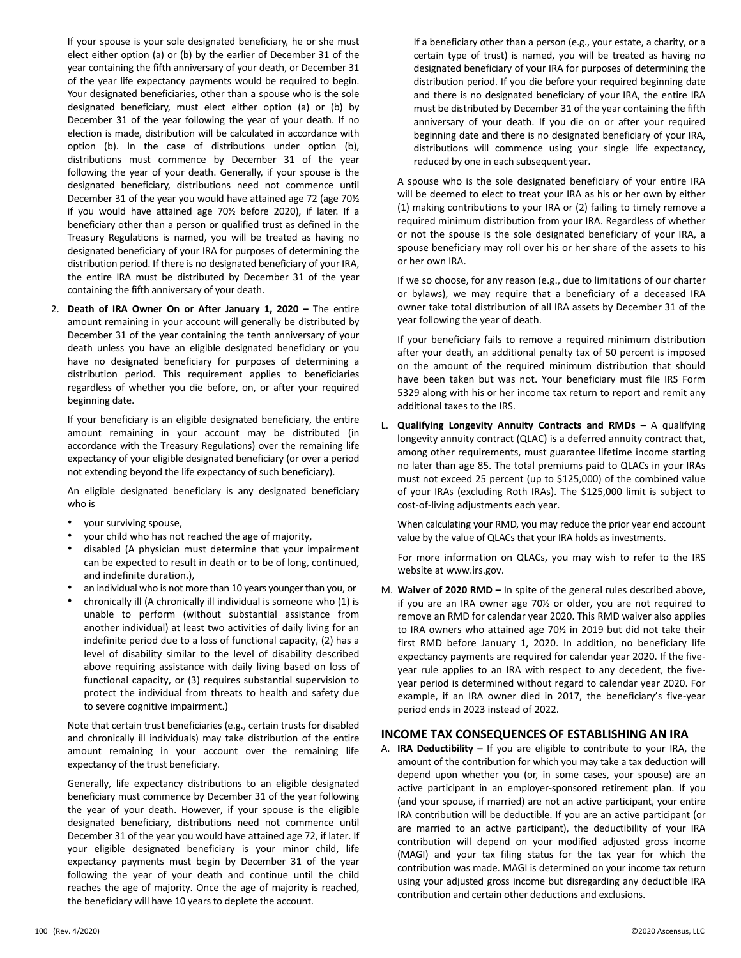If your spouse is your sole designated beneficiary, he or she must elect either option (a) or (b) by the earlier of December 31 of the year containing the fifth anniversary of your death, or December 31 of the year life expectancy payments would be required to begin. Your designated beneficiaries, other than a spouse who is the sole designated beneficiary, must elect either option (a) or (b) by December 31 of the year following the year of your death. If no election is made, distribution will be calculated in accordance with option (b). In the case of distributions under option (b), distributions must commence by December 31 of the year following the year of your death. Generally, if your spouse is the designated beneficiary, distributions need not commence until December 31 of the year you would have attained age 72 (age 70½ if you would have attained age 70½ before 2020), if later. If a beneficiary other than a person or qualified trust as defined in the Treasury Regulations is named, you will be treated as having no designated beneficiary of your IRA for purposes of determining the distribution period. If there is no designated beneficiary of your IRA, the entire IRA must be distributed by December 31 of the year containing the fifth anniversary of your death.

2. **Death of IRA Owner On or After January 1, 2020 –** The entire amount remaining in your account will generally be distributed by December 31 of the year containing the tenth anniversary of your death unless you have an eligible designated beneficiary or you have no designated beneficiary for purposes of determining a distribution period. This requirement applies to beneficiaries regardless of whether you die before, on, or after your required beginning date.

If your beneficiary is an eligible designated beneficiary, the entire amount remaining in your account may be distributed (in accordance with the Treasury Regulations) over the remaining life expectancy of your eligible designated beneficiary (or over a period not extending beyond the life expectancy of such beneficiary).

An eligible designated beneficiary is any designated beneficiary who is

- your surviving spouse,
- your child who has not reached the age of majority,
- disabled (A physician must determine that your impairment can be expected to result in death or to be of long, continued, and indefinite duration.),
- an individual who is not more than 10 years younger than you, or
- chronically ill (A chronically ill individual is someone who (1) is unable to perform (without substantial assistance from another individual) at least two activities of daily living for an indefinite period due to a loss of functional capacity, (2) has a level of disability similar to the level of disability described above requiring assistance with daily living based on loss of functional capacity, or (3) requires substantial supervision to protect the individual from threats to health and safety due to severe cognitive impairment.)

Note that certain trust beneficiaries (e.g., certain trusts for disabled and chronically ill individuals) may take distribution of the entire amount remaining in your account over the remaining life expectancy of the trust beneficiary.

Generally, life expectancy distributions to an eligible designated beneficiary must commence by December 31 of the year following the year of your death. However, if your spouse is the eligible designated beneficiary, distributions need not commence until December 31 of the year you would have attained age 72, if later. If your eligible designated beneficiary is your minor child, life expectancy payments must begin by December 31 of the year following the year of your death and continue until the child reaches the age of majority. Once the age of majority is reached, the beneficiary will have 10 years to deplete the account.

If a beneficiary other than a person (e.g., your estate, a charity, or a certain type of trust) is named, you will be treated as having no designated beneficiary of your IRA for purposes of determining the distribution period. If you die before your required beginning date and there is no designated beneficiary of your IRA, the entire IRA must be distributed by December 31 of the year containing the fifth anniversary of your death. If you die on or after your required beginning date and there is no designated beneficiary of your IRA, distributions will commence using your single life expectancy, reduced by one in each subsequent year.

A spouse who is the sole designated beneficiary of your entire IRA will be deemed to elect to treat your IRA as his or her own by either (1) making contributions to your IRA or (2) failing to timely remove a required minimum distribution from your IRA. Regardless of whether or not the spouse is the sole designated beneficiary of your IRA, a spouse beneficiary may roll over his or her share of the assets to his or her own IRA.

If we so choose, for any reason (e.g., due to limitations of our charter or bylaws), we may require that a beneficiary of a deceased IRA owner take total distribution of all IRA assets by December 31 of the year following the year of death.

If your beneficiary fails to remove a required minimum distribution after your death, an additional penalty tax of 50 percent is imposed on the amount of the required minimum distribution that should have been taken but was not. Your beneficiary must file IRS Form 5329 along with his or her income tax return to report and remit any additional taxes to the IRS.

L. **Qualifying Longevity Annuity Contracts and RMDs –** A qualifying longevity annuity contract (QLAC) is a deferred annuity contract that, among other requirements, must guarantee lifetime income starting no later than age 85. The total premiums paid to QLACs in your IRAs must not exceed 25 percent (up to \$125,000) of the combined value of your IRAs (excluding Roth IRAs). The \$125,000 limit is subject to cost-of-living adjustments each year.

When calculating your RMD, you may reduce the prior year end account value by the value of QLACs that your IRA holds as investments.

For more information on QLACs, you may wish to refer to the IRS website at www.irs.gov.

M. **Waiver of 2020 RMD –** In spite of the general rules described above, if you are an IRA owner age 70½ or older, you are not required to remove an RMD for calendar year 2020. This RMD waiver also applies to IRA owners who attained age 70½ in 2019 but did not take their first RMD before January 1, 2020. In addition, no beneficiary life expectancy payments are required for calendar year 2020. If the fiveyear rule applies to an IRA with respect to any decedent, the fiveyear period is determined without regard to calendar year 2020. For example, if an IRA owner died in 2017, the beneficiary's five-year period ends in 2023 instead of 2022.

## **INCOME TAX CONSEQUENCES OF ESTABLISHING AN IRA**

A. **IRA Deductibility –** If you are eligible to contribute to your IRA, the amount of the contribution for which you may take a tax deduction will depend upon whether you (or, in some cases, your spouse) are an active participant in an employer-sponsored retirement plan. If you (and your spouse, if married) are not an active participant, your entire IRA contribution will be deductible. If you are an active participant (or are married to an active participant), the deductibility of your IRA contribution will depend on your modified adjusted gross income (MAGI) and your tax filing status for the tax year for which the contribution was made. MAGI is determined on your income tax return using your adjusted gross income but disregarding any deductible IRA contribution and certain other deductions and exclusions.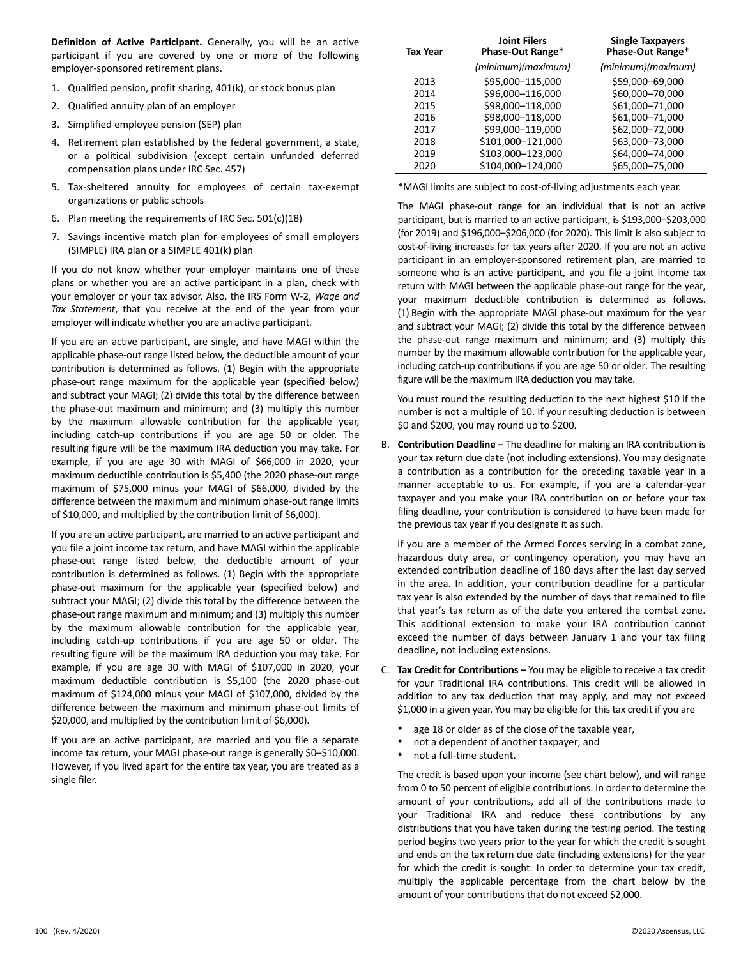**Definition of Active Participant.** Generally, you will be an active participant if you are covered by one or more of the following employer-sponsored retirement plans.

- 1. Qualified pension, profit sharing, 401(k), or stock bonus plan
- 2. Qualified annuity plan of an employer
- 3. Simplified employee pension (SEP) plan
- 4. Retirement plan established by the federal government, a state, or a political subdivision (except certain unfunded deferred compensation plans under IRC Sec. 457)
- 5. Tax-sheltered annuity for employees of certain tax-exempt organizations or public schools
- 6. Plan meeting the requirements of IRC Sec. 501(c)(18)
- 7. Savings incentive match plan for employees of small employers (SIMPLE) IRA plan or a SIMPLE 401(k) plan

If you do not know whether your employer maintains one of these plans or whether you are an active participant in a plan, check with your employer or your tax advisor. Also, the IRS Form W-2, *Wage and Tax Statement*, that you receive at the end of the year from your employer will indicate whether you are an active participant.

If you are an active participant, are single, and have MAGI within the applicable phase-out range listed below, the deductible amount of your contribution is determined as follows. (1) Begin with the appropriate phase-out range maximum for the applicable year (specified below) and subtract your MAGI; (2) divide this total by the difference between the phase-out maximum and minimum; and (3) multiply this number by the maximum allowable contribution for the applicable year, including catch-up contributions if you are age 50 or older. The resulting figure will be the maximum IRA deduction you may take. For example, if you are age 30 with MAGI of \$66,000 in 2020, your maximum deductible contribution is \$5,400 (the 2020 phase-out range maximum of \$75,000 minus your MAGI of \$66,000, divided by the difference between the maximum and minimum phase-out range limits of \$10,000, and multiplied by the contribution limit of \$6,000).

If you are an active participant, are married to an active participant and you file a joint income tax return, and have MAGI within the applicable phase-out range listed below, the deductible amount of your contribution is determined as follows. (1) Begin with the appropriate phase-out maximum for the applicable year (specified below) and subtract your MAGI; (2) divide this total by the difference between the phase-out range maximum and minimum; and (3) multiply this number by the maximum allowable contribution for the applicable year, including catch-up contributions if you are age 50 or older. The resulting figure will be the maximum IRA deduction you may take. For example, if you are age 30 with MAGI of \$107,000 in 2020, your maximum deductible contribution is \$5,100 (the 2020 phase-out maximum of \$124,000 minus your MAGI of \$107,000, divided by the difference between the maximum and minimum phase-out limits of \$20,000, and multiplied by the contribution limit of \$6,000).

If you are an active participant, are married and you file a separate income tax return, your MAGI phase-out range is generally \$0–\$10,000. However, if you lived apart for the entire tax year, you are treated as a single filer.

| Tax Year | <b>Joint Filers</b><br>Phase-Out Range* | <b>Single Taxpayers</b><br>Phase-Out Range* |
|----------|-----------------------------------------|---------------------------------------------|
|          | (minimum)(maximum)                      | (minimum)(maximum)                          |
| 2013     | \$95,000-115,000                        | \$59,000-69,000                             |
| 2014     | \$96,000-116,000                        | \$60,000-70,000                             |
| 2015     | \$98,000-118,000                        | \$61,000-71,000                             |
| 2016     | \$98,000-118,000                        | \$61,000-71,000                             |
| 2017     | \$99,000-119,000                        | \$62,000-72,000                             |
| 2018     | \$101,000-121,000                       | \$63,000-73,000                             |
| 2019     | \$103,000-123,000                       | \$64,000-74,000                             |
| 2020     | \$104,000-124,000                       | \$65,000-75,000                             |
|          |                                         |                                             |

\*MAGI limits are subject to cost-of-living adjustments each year.

The MAGI phase-out range for an individual that is not an active participant, but is married to an active participant, is \$193,000–\$203,000 (for 2019) and \$196,000–\$206,000 (for 2020). This limit is also subject to cost-of-living increases for tax years after 2020. If you are not an active participant in an employer-sponsored retirement plan, are married to someone who is an active participant, and you file a joint income tax return with MAGI between the applicable phase-out range for the year, your maximum deductible contribution is determined as follows. (1) Begin with the appropriate MAGI phase-out maximum for the year and subtract your MAGI; (2) divide this total by the difference between the phase-out range maximum and minimum; and (3) multiply this number by the maximum allowable contribution for the applicable year, including catch-up contributions if you are age 50 or older. The resulting figure will be the maximum IRA deduction you may take.

You must round the resulting deduction to the next highest \$10 if the number is not a multiple of 10. If your resulting deduction is between \$0 and \$200, you may round up to \$200.

B. **Contribution Deadline –** The deadline for making an IRA contribution is your tax return due date (not including extensions). You may designate a contribution as a contribution for the preceding taxable year in a manner acceptable to us. For example, if you are a calendar-year taxpayer and you make your IRA contribution on or before your tax filing deadline, your contribution is considered to have been made for the previous tax year if you designate it as such.

If you are a member of the Armed Forces serving in a combat zone, hazardous duty area, or contingency operation, you may have an extended contribution deadline of 180 days after the last day served in the area. In addition, your contribution deadline for a particular tax year is also extended by the number of days that remained to file that year's tax return as of the date you entered the combat zone. This additional extension to make your IRA contribution cannot exceed the number of days between January 1 and your tax filing deadline, not including extensions.

- C. **Tax Credit for Contributions –** You may be eligible to receive a tax credit for your Traditional IRA contributions. This credit will be allowed in addition to any tax deduction that may apply, and may not exceed \$1,000 in a given year. You may be eligible for this tax credit if you are
	- age 18 or older as of the close of the taxable year,
	- not a dependent of another taxpayer, and
	- not a full-time student.

The credit is based upon your income (see chart below), and will range from 0 to 50 percent of eligible contributions. In order to determine the amount of your contributions, add all of the contributions made to your Traditional IRA and reduce these contributions by any distributions that you have taken during the testing period. The testing period begins two years prior to the year for which the credit is sought and ends on the tax return due date (including extensions) for the year for which the credit is sought. In order to determine your tax credit, multiply the applicable percentage from the chart below by the amount of your contributions that do not exceed \$2,000.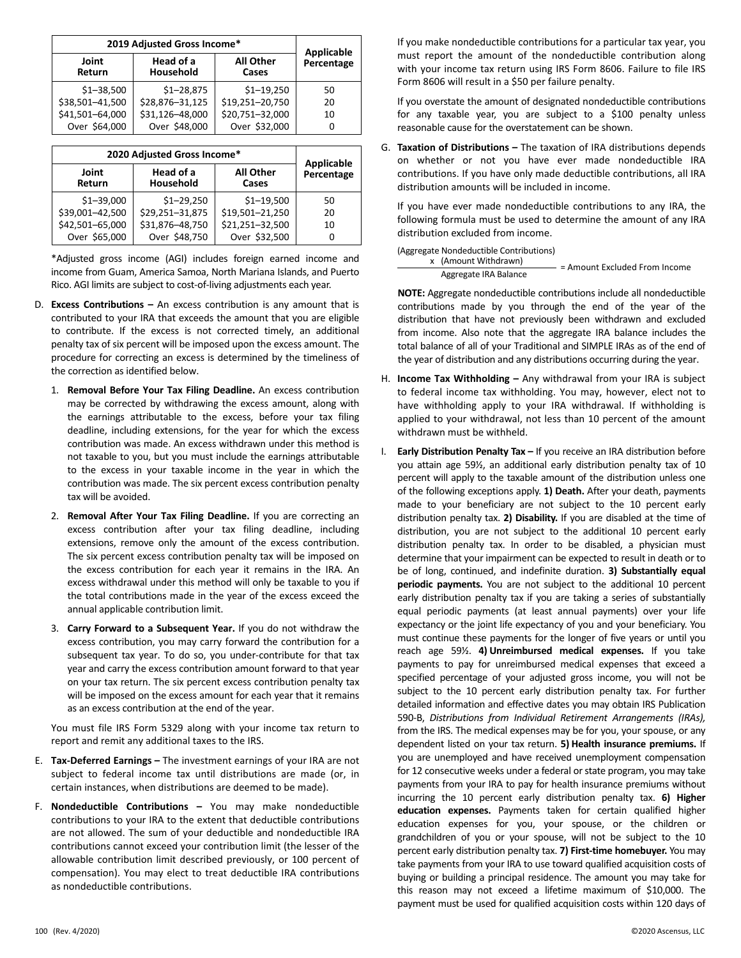| 2019 Adjusted Gross Income* | <b>Applicable</b>      |                           |            |
|-----------------------------|------------------------|---------------------------|------------|
| Joint<br>Return             | Head of a<br>Household | <b>All Other</b><br>Cases | Percentage |
| $$1 - 38,500$               | $$1 - 28,875$          | $$1 - 19,250$             | 50         |
| \$38,501-41,500             | \$28,876-31,125        | \$19,251-20,750           | 20         |
| \$41,501-64,000             | \$31,126-48,000        | \$20,751-32,000           | 10         |
| Over \$64,000               | Over \$48,000          | Over \$32,000             |            |

| 2020 Adjusted Gross Income* | <b>Applicable</b>      |                           |            |
|-----------------------------|------------------------|---------------------------|------------|
| Joint<br>Return             | Head of a<br>Household | <b>All Other</b><br>Cases | Percentage |
| $$1 - 39,000$               | $$1 - 29,250$          | $$1 - 19,500$             | 50         |
| \$39,001-42,500             | \$29,251-31,875        | \$19,501-21,250           | 20         |
| \$42,501-65,000             | \$31,876-48,750        | \$21,251-32,500           | 10         |
| Over \$65,000               | Over \$48,750          | Over \$32,500             | 0          |

\*Adjusted gross income (AGI) includes foreign earned income and income from Guam, America Samoa, North Mariana Islands, and Puerto Rico. AGI limits are subject to cost-of-living adjustments each year.

- D. **Excess Contributions –** An excess contribution is any amount that is contributed to your IRA that exceeds the amount that you are eligible to contribute. If the excess is not corrected timely, an additional penalty tax of six percent will be imposed upon the excess amount. The procedure for correcting an excess is determined by the timeliness of the correction as identified below.
	- 1. **Removal Before Your Tax Filing Deadline.** An excess contribution may be corrected by withdrawing the excess amount, along with the earnings attributable to the excess, before your tax filing deadline, including extensions, for the year for which the excess contribution was made. An excess withdrawn under this method is not taxable to you, but you must include the earnings attributable to the excess in your taxable income in the year in which the contribution was made. The six percent excess contribution penalty tax will be avoided.
	- 2. **Removal After Your Tax Filing Deadline.** If you are correcting an excess contribution after your tax filing deadline, including extensions, remove only the amount of the excess contribution. The six percent excess contribution penalty tax will be imposed on the excess contribution for each year it remains in the IRA. An excess withdrawal under this method will only be taxable to you if the total contributions made in the year of the excess exceed the annual applicable contribution limit.
	- 3. **Carry Forward to a Subsequent Year.** If you do not withdraw the excess contribution, you may carry forward the contribution for a subsequent tax year. To do so, you under-contribute for that tax year and carry the excess contribution amount forward to that year on your tax return. The six percent excess contribution penalty tax will be imposed on the excess amount for each year that it remains as an excess contribution at the end of the year.

You must file IRS Form 5329 along with your income tax return to report and remit any additional taxes to the IRS.

- E. **Tax-Deferred Earnings –** The investment earnings of your IRA are not subject to federal income tax until distributions are made (or, in certain instances, when distributions are deemed to be made).
- F. **Nondeductible Contributions –** You may make nondeductible contributions to your IRA to the extent that deductible contributions are not allowed. The sum of your deductible and nondeductible IRA contributions cannot exceed your contribution limit (the lesser of the allowable contribution limit described previously, or 100 percent of compensation). You may elect to treat deductible IRA contributions as nondeductible contributions.

If you make nondeductible contributions for a particular tax year, you must report the amount of the nondeductible contribution along with your income tax return using IRS Form 8606. Failure to file IRS Form 8606 will result in a \$50 per failure penalty.

If you overstate the amount of designated nondeductible contributions for any taxable year, you are subject to a \$100 penalty unless reasonable cause for the overstatement can be shown.

G. **Taxation of Distributions –** The taxation of IRA distributions depends on whether or not you have ever made nondeductible IRA contributions. If you have only made deductible contributions, all IRA distribution amounts will be included in income.

If you have ever made nondeductible contributions to any IRA, the following formula must be used to determine the amount of any IRA distribution excluded from income.

#### (Aggregate Nondeductible Contributions)

x (Amount Withdrawn) Aggregate IRA Balance = Amount Excluded From Income

**NOTE:** Aggregate nondeductible contributions include all nondeductible contributions made by you through the end of the year of the distribution that have not previously been withdrawn and excluded from income. Also note that the aggregate IRA balance includes the total balance of all of your Traditional and SIMPLE IRAs as of the end of the year of distribution and any distributions occurring during the year.

- H. **Income Tax Withholding –** Any withdrawal from your IRA is subject to federal income tax withholding. You may, however, elect not to have withholding apply to your IRA withdrawal. If withholding is applied to your withdrawal, not less than 10 percent of the amount withdrawn must be withheld.
- I. **Early Distribution Penalty Tax –** If you receive an IRA distribution before you attain age 59½, an additional early distribution penalty tax of 10 percent will apply to the taxable amount of the distribution unless one of the following exceptions apply. **1) Death.** After your death, payments made to your beneficiary are not subject to the 10 percent early distribution penalty tax. **2) Disability.** If you are disabled at the time of distribution, you are not subject to the additional 10 percent early distribution penalty tax. In order to be disabled, a physician must determine that your impairment can be expected to result in death or to be of long, continued, and indefinite duration. **3) Substantially equal periodic payments.** You are not subject to the additional 10 percent early distribution penalty tax if you are taking a series of substantially equal periodic payments (at least annual payments) over your life expectancy or the joint life expectancy of you and your beneficiary. You must continue these payments for the longer of five years or until you reach age 59½. **4) Unreimbursed medical expenses.** If you take payments to pay for unreimbursed medical expenses that exceed a specified percentage of your adjusted gross income, you will not be subject to the 10 percent early distribution penalty tax. For further detailed information and effective dates you may obtain IRS Publication 590-B, *Distributions from Individual Retirement Arrangements (IRAs),* from the IRS. The medical expenses may be for you, your spouse, or any dependent listed on your tax return. **5) Health insurance premiums.** If you are unemployed and have received unemployment compensation for 12 consecutive weeks under a federal or state program, you may take payments from your IRA to pay for health insurance premiums without incurring the 10 percent early distribution penalty tax. **6) Higher education expenses.** Payments taken for certain qualified higher education expenses for you, your spouse, or the children or grandchildren of you or your spouse, will not be subject to the 10 percent early distribution penalty tax. **7) First-time homebuyer.** You may take payments from your IRA to use toward qualified acquisition costs of buying or building a principal residence. The amount you may take for this reason may not exceed a lifetime maximum of \$10,000. The payment must be used for qualified acquisition costs within 120 days of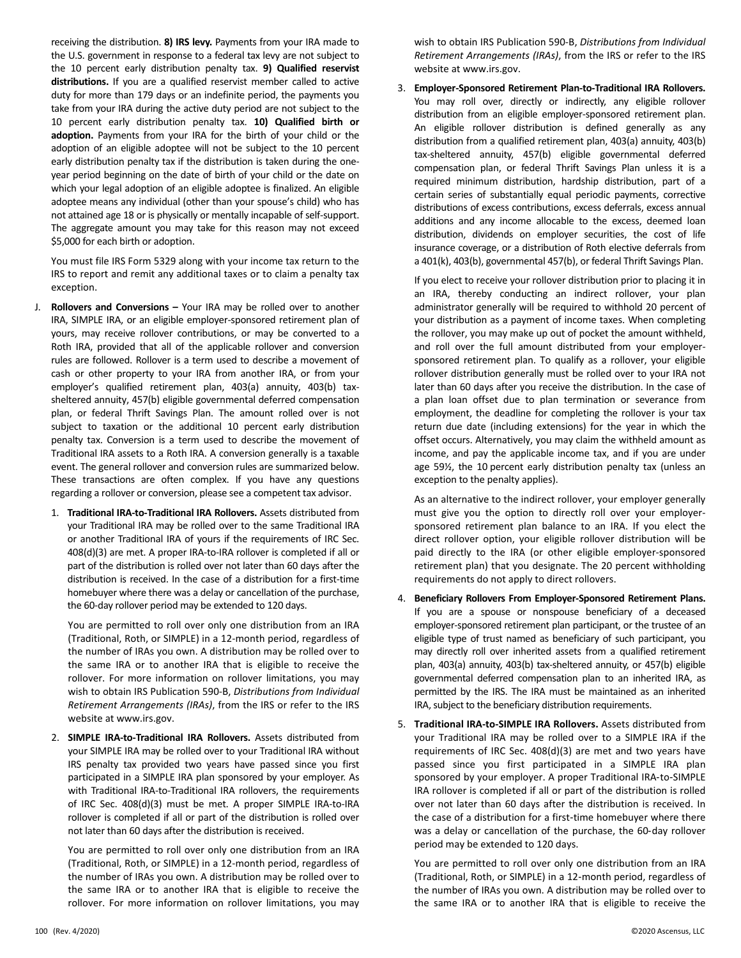receiving the distribution. **8) IRS levy.** Payments from your IRA made to the U.S. government in response to a federal tax levy are not subject to the 10 percent early distribution penalty tax. **9) Qualified reservist distributions.** If you are a qualified reservist member called to active duty for more than 179 days or an indefinite period, the payments you take from your IRA during the active duty period are not subject to the 10 percent early distribution penalty tax. **10) Qualified birth or adoption.** Payments from your IRA for the birth of your child or the adoption of an eligible adoptee will not be subject to the 10 percent early distribution penalty tax if the distribution is taken during the oneyear period beginning on the date of birth of your child or the date on which your legal adoption of an eligible adoptee is finalized. An eligible adoptee means any individual (other than your spouse's child) who has not attained age 18 or is physically or mentally incapable of self-support. The aggregate amount you may take for this reason may not exceed \$5,000 for each birth or adoption.

You must file IRS Form 5329 along with your income tax return to the IRS to report and remit any additional taxes or to claim a penalty tax exception.

- J. **Rollovers and Conversions –** Your IRA may be rolled over to another IRA, SIMPLE IRA, or an eligible employer-sponsored retirement plan of yours, may receive rollover contributions, or may be converted to a Roth IRA, provided that all of the applicable rollover and conversion rules are followed. Rollover is a term used to describe a movement of cash or other property to your IRA from another IRA, or from your employer's qualified retirement plan, 403(a) annuity, 403(b) taxsheltered annuity, 457(b) eligible governmental deferred compensation plan, or federal Thrift Savings Plan. The amount rolled over is not subject to taxation or the additional 10 percent early distribution penalty tax. Conversion is a term used to describe the movement of Traditional IRA assets to a Roth IRA. A conversion generally is a taxable event. The general rollover and conversion rules are summarized below. These transactions are often complex. If you have any questions regarding a rollover or conversion, please see a competent tax advisor.
	- 1. **Traditional IRA-to-Traditional IRA Rollovers.** Assets distributed from your Traditional IRA may be rolled over to the same Traditional IRA or another Traditional IRA of yours if the requirements of IRC Sec. 408(d)(3) are met. A proper IRA-to-IRA rollover is completed if all or part of the distribution is rolled over not later than 60 days after the distribution is received. In the case of a distribution for a first-time homebuyer where there was a delay or cancellation of the purchase, the 60-day rollover period may be extended to 120 days.

You are permitted to roll over only one distribution from an IRA (Traditional, Roth, or SIMPLE) in a 12-month period, regardless of the number of IRAs you own. A distribution may be rolled over to the same IRA or to another IRA that is eligible to receive the rollover. For more information on rollover limitations, you may wish to obtain IRS Publication 590-B, *Distributions from Individual Retirement Arrangements (IRAs)*, from the IRS or refer to the IRS website at www.irs.gov.

2. **SIMPLE IRA-to-Traditional IRA Rollovers.** Assets distributed from your SIMPLE IRA may be rolled over to your Traditional IRA without IRS penalty tax provided two years have passed since you first participated in a SIMPLE IRA plan sponsored by your employer. As with Traditional IRA-to-Traditional IRA rollovers, the requirements of IRC Sec. 408(d)(3) must be met. A proper SIMPLE IRA-to-IRA rollover is completed if all or part of the distribution is rolled over not later than 60 days after the distribution is received.

You are permitted to roll over only one distribution from an IRA (Traditional, Roth, or SIMPLE) in a 12-month period, regardless of the number of IRAs you own. A distribution may be rolled over to the same IRA or to another IRA that is eligible to receive the rollover. For more information on rollover limitations, you may

wish to obtain IRS Publication 590-B, *Distributions from Individual Retirement Arrangements (IRAs)*, from the IRS or refer to the IRS website at www.irs.gov.

3. **Employer-Sponsored Retirement Plan-to-Traditional IRA Rollovers.** You may roll over, directly or indirectly, any eligible rollover distribution from an eligible employer-sponsored retirement plan. An eligible rollover distribution is defined generally as any distribution from a qualified retirement plan, 403(a) annuity, 403(b) tax-sheltered annuity, 457(b) eligible governmental deferred compensation plan, or federal Thrift Savings Plan unless it is a required minimum distribution, hardship distribution, part of a certain series of substantially equal periodic payments, corrective distributions of excess contributions, excess deferrals, excess annual additions and any income allocable to the excess, deemed loan distribution, dividends on employer securities, the cost of life insurance coverage, or a distribution of Roth elective deferrals from a 401(k), 403(b), governmental 457(b), or federal Thrift Savings Plan.

If you elect to receive your rollover distribution prior to placing it in an IRA, thereby conducting an indirect rollover, your plan administrator generally will be required to withhold 20 percent of your distribution as a payment of income taxes. When completing the rollover, you may make up out of pocket the amount withheld, and roll over the full amount distributed from your employersponsored retirement plan. To qualify as a rollover, your eligible rollover distribution generally must be rolled over to your IRA not later than 60 days after you receive the distribution. In the case of a plan loan offset due to plan termination or severance from employment, the deadline for completing the rollover is your tax return due date (including extensions) for the year in which the offset occurs. Alternatively, you may claim the withheld amount as income, and pay the applicable income tax, and if you are under age 59½, the 10 percent early distribution penalty tax (unless an exception to the penalty applies).

As an alternative to the indirect rollover, your employer generally must give you the option to directly roll over your employersponsored retirement plan balance to an IRA. If you elect the direct rollover option, your eligible rollover distribution will be paid directly to the IRA (or other eligible employer-sponsored retirement plan) that you designate. The 20 percent withholding requirements do not apply to direct rollovers.

- 4. **Beneficiary Rollovers From Employer-Sponsored Retirement Plans.** If you are a spouse or nonspouse beneficiary of a deceased employer-sponsored retirement plan participant, or the trustee of an eligible type of trust named as beneficiary of such participant, you may directly roll over inherited assets from a qualified retirement plan, 403(a) annuity, 403(b) tax-sheltered annuity, or 457(b) eligible governmental deferred compensation plan to an inherited IRA, as permitted by the IRS. The IRA must be maintained as an inherited IRA, subject to the beneficiary distribution requirements.
- 5. **Traditional IRA-to-SIMPLE IRA Rollovers.** Assets distributed from your Traditional IRA may be rolled over to a SIMPLE IRA if the requirements of IRC Sec. 408(d)(3) are met and two years have passed since you first participated in a SIMPLE IRA plan sponsored by your employer. A proper Traditional IRA‐to‐SIMPLE IRA rollover is completed if all or part of the distribution is rolled over not later than 60 days after the distribution is received. In the case of a distribution for a first‐time homebuyer where there was a delay or cancellation of the purchase, the 60‐day rollover period may be extended to 120 days.

You are permitted to roll over only one distribution from an IRA (Traditional, Roth, or SIMPLE) in a 12‐month period, regardless of the number of IRAs you own. A distribution may be rolled over to the same IRA or to another IRA that is eligible to receive the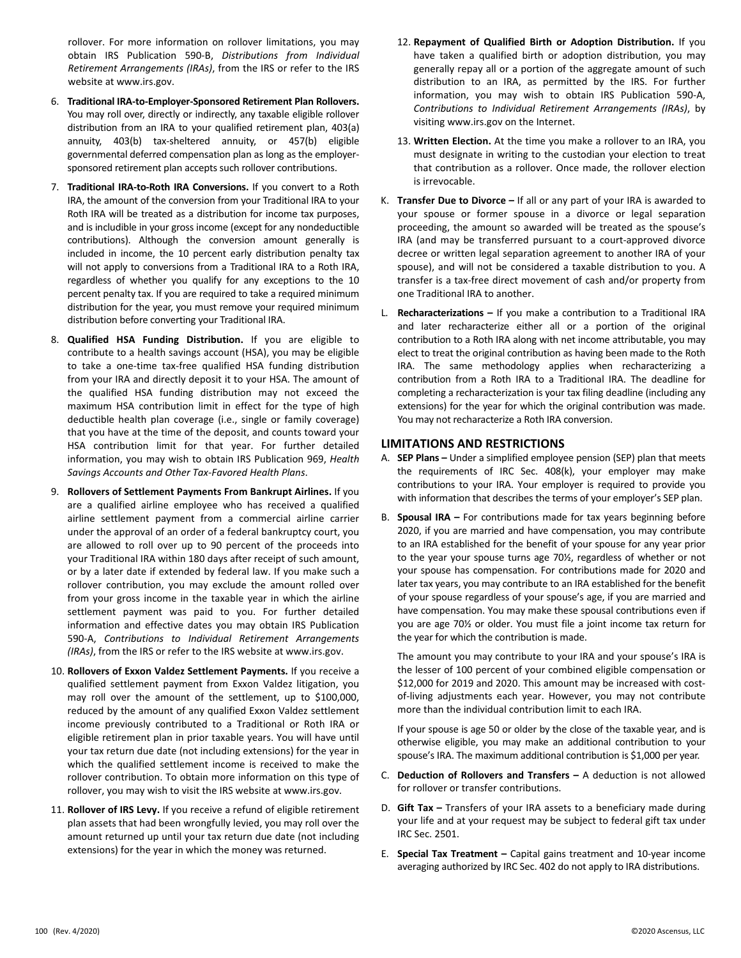rollover. For more information on rollover limitations, you may obtain IRS Publication 590-B, *Distributions from Individual Retirement Arrangements (IRAs)*, from the IRS or refer to the IRS website at www.irs.gov.

- 6. **Traditional IRA-to-Employer-Sponsored Retirement Plan Rollovers.** You may roll over, directly or indirectly, any taxable eligible rollover distribution from an IRA to your qualified retirement plan, 403(a) annuity, 403(b) tax-sheltered annuity, or 457(b) eligible governmental deferred compensation plan as long as the employersponsored retirement plan accepts such rollover contributions.
- 7. **Traditional IRA-to-Roth IRA Conversions.** If you convert to a Roth IRA, the amount of the conversion from your Traditional IRA to your Roth IRA will be treated as a distribution for income tax purposes, and is includible in your gross income (except for any nondeductible contributions). Although the conversion amount generally is included in income, the 10 percent early distribution penalty tax will not apply to conversions from a Traditional IRA to a Roth IRA, regardless of whether you qualify for any exceptions to the 10 percent penalty tax. If you are required to take a required minimum distribution for the year, you must remove your required minimum distribution before converting your Traditional IRA.
- 8. **Qualified HSA Funding Distribution.** If you are eligible to contribute to a health savings account (HSA), you may be eligible to take a one-time tax-free qualified HSA funding distribution from your IRA and directly deposit it to your HSA. The amount of the qualified HSA funding distribution may not exceed the maximum HSA contribution limit in effect for the type of high deductible health plan coverage (i.e., single or family coverage) that you have at the time of the deposit, and counts toward your HSA contribution limit for that year. For further detailed information, you may wish to obtain IRS Publication 969, *Health Savings Accounts and Other Tax-Favored Health Plans*.
- 9. **Rollovers of Settlement Payments From Bankrupt Airlines.** If you are a qualified airline employee who has received a qualified airline settlement payment from a commercial airline carrier under the approval of an order of a federal bankruptcy court, you are allowed to roll over up to 90 percent of the proceeds into your Traditional IRA within 180 days after receipt of such amount, or by a later date if extended by federal law. If you make such a rollover contribution, you may exclude the amount rolled over from your gross income in the taxable year in which the airline settlement payment was paid to you. For further detailed information and effective dates you may obtain IRS Publication 590-A, *Contributions to Individual Retirement Arrangements (IRAs)*, from the IRS or refer to the IRS website at www.irs.gov.
- 10. **Rollovers of Exxon Valdez Settlement Payments.** If you receive a qualified settlement payment from Exxon Valdez litigation, you may roll over the amount of the settlement, up to \$100,000, reduced by the amount of any qualified Exxon Valdez settlement income previously contributed to a Traditional or Roth IRA or eligible retirement plan in prior taxable years. You will have until your tax return due date (not including extensions) for the year in which the qualified settlement income is received to make the rollover contribution. To obtain more information on this type of rollover, you may wish to visit the IRS website at www.irs.gov.
- 11. **Rollover of IRS Levy.** If you receive a refund of eligible retirement plan assets that had been wrongfully levied, you may roll over the amount returned up until your tax return due date (not including extensions) for the year in which the money was returned.
- 12. **Repayment of Qualified Birth or Adoption Distribution.** If you have taken a qualified birth or adoption distribution, you may generally repay all or a portion of the aggregate amount of such distribution to an IRA, as permitted by the IRS. For further information, you may wish to obtain IRS Publication 590-A, *Contributions to Individual Retirement Arrangements (IRAs)*, by visiting www.irs.gov on the Internet.
- 13. **Written Election.** At the time you make a rollover to an IRA, you must designate in writing to the custodian your election to treat that contribution as a rollover. Once made, the rollover election is irrevocable.
- K. **Transfer Due to Divorce –** If all or any part of your IRA is awarded to your spouse or former spouse in a divorce or legal separation proceeding, the amount so awarded will be treated as the spouse's IRA (and may be transferred pursuant to a court-approved divorce decree or written legal separation agreement to another IRA of your spouse), and will not be considered a taxable distribution to you. A transfer is a tax-free direct movement of cash and/or property from one Traditional IRA to another.
- L. **Recharacterizations –** If you make a contribution to a Traditional IRA and later recharacterize either all or a portion of the original contribution to a Roth IRA along with net income attributable, you may elect to treat the original contribution as having been made to the Roth IRA. The same methodology applies when recharacterizing a contribution from a Roth IRA to a Traditional IRA. The deadline for completing a recharacterization is your tax filing deadline (including any extensions) for the year for which the original contribution was made. You may not recharacterize a Roth IRA conversion.

## **LIMITATIONS AND RESTRICTIONS**

- A. **SEP Plans –** Under a simplified employee pension (SEP) plan that meets the requirements of IRC Sec. 408(k), your employer may make contributions to your IRA. Your employer is required to provide you with information that describes the terms of your employer's SEP plan.
- B. **Spousal IRA –** For contributions made for tax years beginning before 2020, if you are married and have compensation, you may contribute to an IRA established for the benefit of your spouse for any year prior to the year your spouse turns age 70½, regardless of whether or not your spouse has compensation. For contributions made for 2020 and later tax years, you may contribute to an IRA established for the benefit of your spouse regardless of your spouse's age, if you are married and have compensation. You may make these spousal contributions even if you are age 70½ or older. You must file a joint income tax return for the year for which the contribution is made.

The amount you may contribute to your IRA and your spouse's IRA is the lesser of 100 percent of your combined eligible compensation or \$12,000 for 2019 and 2020. This amount may be increased with costof-living adjustments each year. However, you may not contribute more than the individual contribution limit to each IRA.

If your spouse is age 50 or older by the close of the taxable year, and is otherwise eligible, you may make an additional contribution to your spouse's IRA. The maximum additional contribution is \$1,000 per year.

- C. **Deduction of Rollovers and Transfers –** A deduction is not allowed for rollover or transfer contributions.
- D. **Gift Tax –** Transfers of your IRA assets to a beneficiary made during your life and at your request may be subject to federal gift tax under IRC Sec. 2501.
- E. **Special Tax Treatment –** Capital gains treatment and 10-year income averaging authorized by IRC Sec. 402 do not apply to IRA distributions.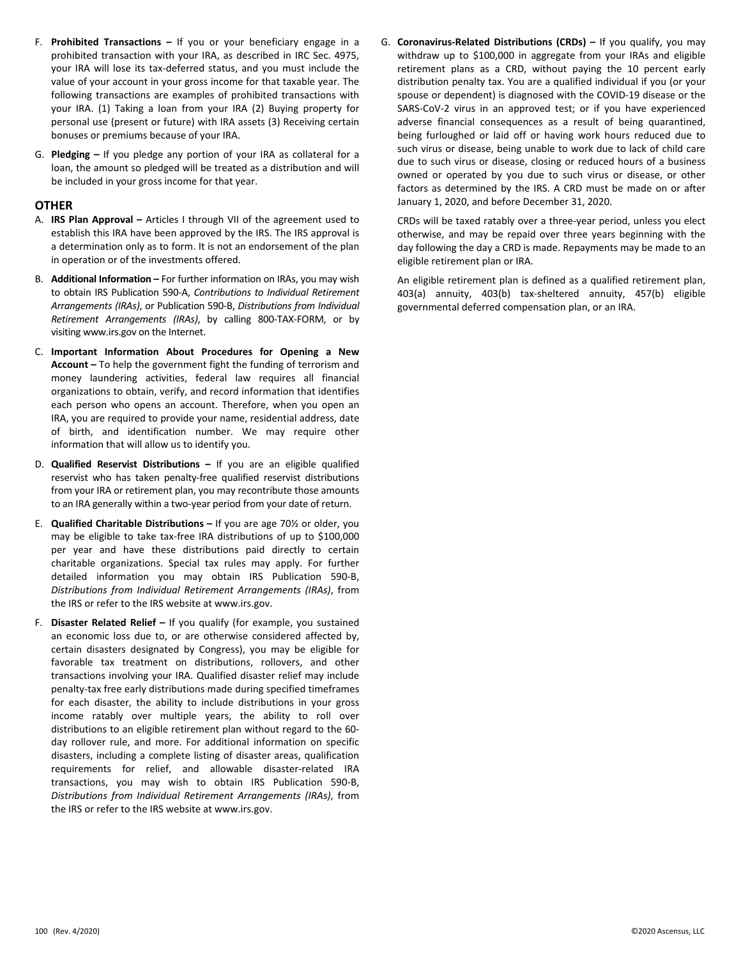- F. **Prohibited Transactions –** If you or your beneficiary engage in a prohibited transaction with your IRA, as described in IRC Sec. 4975, your IRA will lose its tax-deferred status, and you must include the value of your account in your gross income for that taxable year. The following transactions are examples of prohibited transactions with your IRA. (1) Taking a loan from your IRA (2) Buying property for personal use (present or future) with IRA assets (3) Receiving certain bonuses or premiums because of your IRA.
- G. **Pledging –** If you pledge any portion of your IRA as collateral for a loan, the amount so pledged will be treated as a distribution and will be included in your gross income for that year.

## **OTHER**

- A. **IRS Plan Approval –** Articles I through VII of the agreement used to establish this IRA have been approved by the IRS. The IRS approval is a determination only as to form. It is not an endorsement of the plan in operation or of the investments offered.
- B. **Additional Information –** For further information on IRAs, you may wish to obtain IRS Publication 590-A, *Contributions to Individual Retirement Arrangements (IRAs)*, or Publication 590-B, *Distributions from Individual Retirement Arrangements (IRAs)*, by calling 800-TAX-FORM, or by visiting www.irs.gov on the Internet.
- C. **Important Information About Procedures for Opening a New Account –** To help the government fight the funding of terrorism and money laundering activities, federal law requires all financial organizations to obtain, verify, and record information that identifies each person who opens an account. Therefore, when you open an IRA, you are required to provide your name, residential address, date of birth, and identification number. We may require other information that will allow us to identify you.
- D. **Qualified Reservist Distributions –** If you are an eligible qualified reservist who has taken penalty-free qualified reservist distributions from your IRA or retirement plan, you may recontribute those amounts to an IRA generally within a two-year period from your date of return.
- E. **Qualified Charitable Distributions –** If you are age 70½ or older, you may be eligible to take tax-free IRA distributions of up to \$100,000 per year and have these distributions paid directly to certain charitable organizations. Special tax rules may apply. For further detailed information you may obtain IRS Publication 590-B, *Distributions from Individual Retirement Arrangements (IRAs)*, from the IRS or refer to the IRS website at www.irs.gov.
- F. **Disaster Related Relief –** If you qualify (for example, you sustained an economic loss due to, or are otherwise considered affected by, certain disasters designated by Congress), you may be eligible for favorable tax treatment on distributions, rollovers, and other transactions involving your IRA. Qualified disaster relief may include penalty-tax free early distributions made during specified timeframes for each disaster, the ability to include distributions in your gross income ratably over multiple years, the ability to roll over distributions to an eligible retirement plan without regard to the 60 day rollover rule, and more. For additional information on specific disasters, including a complete listing of disaster areas, qualification requirements for relief, and allowable disaster-related IRA transactions, you may wish to obtain IRS Publication 590-B, *Distributions from Individual Retirement Arrangements (IRAs)*, from the IRS or refer to the IRS website at www.irs.gov.

G. **Coronavirus-Related Distributions (CRDs) –** If you qualify, you may withdraw up to \$100,000 in aggregate from your IRAs and eligible retirement plans as a CRD, without paying the 10 percent early distribution penalty tax. You are a qualified individual if you (or your spouse or dependent) is diagnosed with the COVID-19 disease or the SARS-CoV-2 virus in an approved test; or if you have experienced adverse financial consequences as a result of being quarantined, being furloughed or laid off or having work hours reduced due to such virus or disease, being unable to work due to lack of child care due to such virus or disease, closing or reduced hours of a business owned or operated by you due to such virus or disease, or other factors as determined by the IRS. A CRD must be made on or after January 1, 2020, and before December 31, 2020.

CRDs will be taxed ratably over a three-year period, unless you elect otherwise, and may be repaid over three years beginning with the day following the day a CRD is made. Repayments may be made to an eligible retirement plan or IRA.

An eligible retirement plan is defined as a qualified retirement plan, 403(a) annuity, 403(b) tax-sheltered annuity, 457(b) eligible governmental deferred compensation plan, or an IRA.